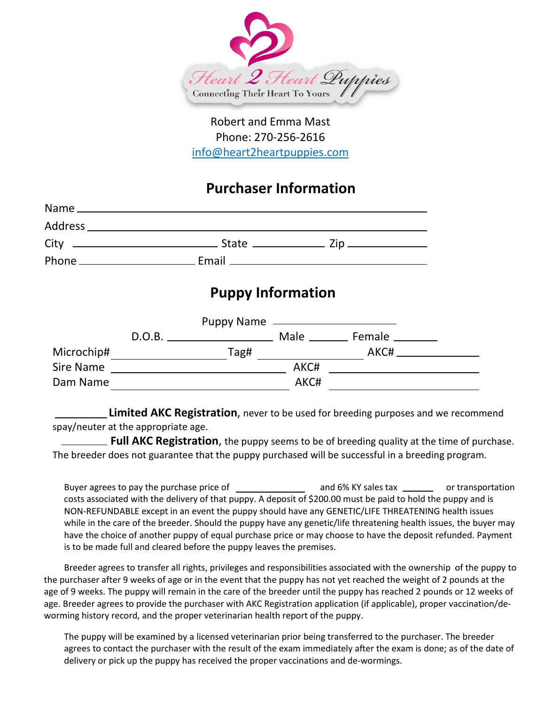

## Robert and Emma Mast Phone: 270-256-2616 info@heart2heartpuppies.com

## **Purchaser Information**

## **Puppy Information**

|            | D.O.B. | <u> 1989 - Johann Harry Barn, mars and de Branch and de Branch and de Branch and de Branch and de Branch and de B</u> |      | Male _____________ Female ___________ |  |
|------------|--------|-----------------------------------------------------------------------------------------------------------------------|------|---------------------------------------|--|
| Microchip# |        | Tag#                                                                                                                  |      | AKC#                                  |  |
| Sire Name  |        |                                                                                                                       | AKC# |                                       |  |
| Dam Name   |        |                                                                                                                       | AKC# |                                       |  |

 **Limited AKC Registration**, never to be used for breeding purposes and we recommend spay/neuter at the appropriate age.

 **Full AKC Registration**, the puppy seems to be of breeding quality at the time of purchase. The breeder does not guarantee that the puppy purchased will be successful in a breeding program.

Buyer agrees to pay the purchase price of \_\_\_\_\_\_\_\_\_\_\_\_\_\_\_\_\_ and 6% KY sales tax \_\_\_\_\_\_\_\_ or transportation costs associated with the delivery of that puppy. A deposit of \$200.00 must be paid to hold the puppy and is NON-REFUNDABLE except in an event the puppy should have any GENETIC/LIFE THREATENING health issues while in the care of the breeder. Should the puppy have any genetic/life threatening health issues, the buyer may have the choice of another puppy of equal purchase price or may choose to have the deposit refunded. Payment is to be made full and cleared before the puppy leaves the premises.

Breeder agrees to transfer all rights, privileges and responsibilities associated with the ownership of the puppy to the purchaser after 9 weeks of age or in the event that the puppy has not yet reached the weight of 2 pounds at the age of 9 weeks. The puppy will remain in the care of the breeder until the puppy has reached 2 pounds or 12 weeks of age. Breeder agrees to provide the purchaser with AKC Registration application (if applicable), proper vaccination/deworming history record, and the proper veterinarian health report of the puppy.

The puppy will be examined by a licensed veterinarian prior being transferred to the purchaser. The breeder agrees to contact the purchaser with the result of the exam immediately after the exam is done; as of the date of delivery or pick up the puppy has received the proper vaccinations and de-wormings.